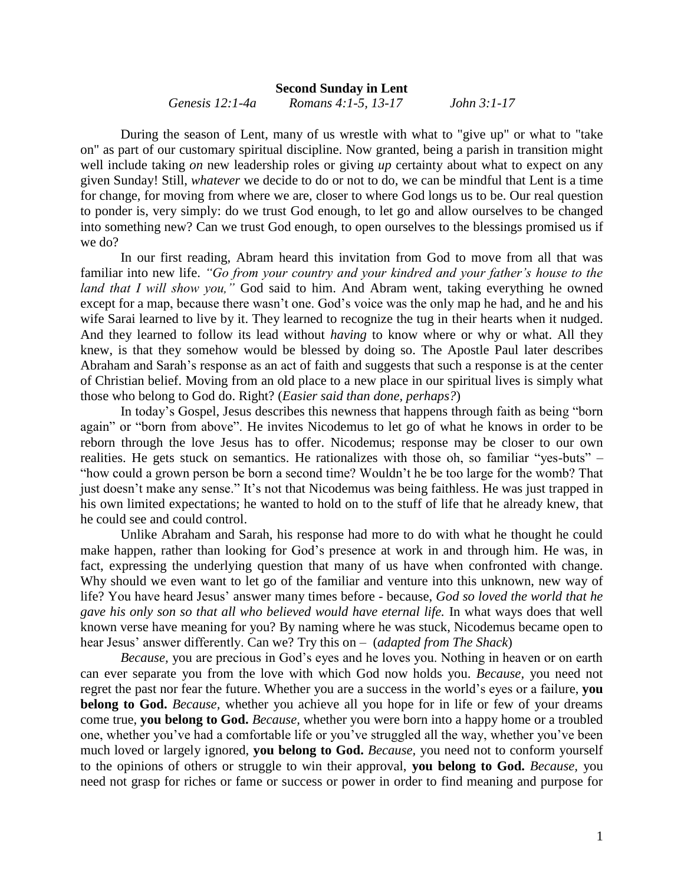## **Second Sunday in Lent**

*Genesis 12:1-4a Romans 4:1-5, 13-17 John 3:1-17*

During the season of Lent, many of us wrestle with what to "give up" or what to "take on" as part of our customary spiritual discipline. Now granted, being a parish in transition might well include taking *on* new leadership roles or giving *up* certainty about what to expect on any given Sunday! Still, *whatever* we decide to do or not to do, we can be mindful that Lent is a time for change, for moving from where we are, closer to where God longs us to be. Our real question to ponder is, very simply: do we trust God enough, to let go and allow ourselves to be changed into something new? Can we trust God enough, to open ourselves to the blessings promised us if we do?

In our first reading, Abram heard this invitation from God to move from all that was familiar into new life. *"Go from your country and your kindred and your father's house to the land that I will show you,"* God said to him. And Abram went, taking everything he owned except for a map, because there wasn't one. God's voice was the only map he had, and he and his wife Sarai learned to live by it. They learned to recognize the tug in their hearts when it nudged. And they learned to follow its lead without *having* to know where or why or what. All they knew, is that they somehow would be blessed by doing so. The Apostle Paul later describes Abraham and Sarah's response as an act of faith and suggests that such a response is at the center of Christian belief. Moving from an old place to a new place in our spiritual lives is simply what those who belong to God do. Right? (*Easier said than done, perhaps?*)

In today's Gospel, Jesus describes this newness that happens through faith as being "born again" or "born from above". He invites Nicodemus to let go of what he knows in order to be reborn through the love Jesus has to offer. Nicodemus; response may be closer to our own realities. He gets stuck on semantics. He rationalizes with those oh, so familiar "yes-buts" – "how could a grown person be born a second time? Wouldn't he be too large for the womb? That just doesn't make any sense." It's not that Nicodemus was being faithless. He was just trapped in his own limited expectations; he wanted to hold on to the stuff of life that he already knew, that he could see and could control.

Unlike Abraham and Sarah, his response had more to do with what he thought he could make happen, rather than looking for God's presence at work in and through him. He was, in fact, expressing the underlying question that many of us have when confronted with change. Why should we even want to let go of the familiar and venture into this unknown, new way of life? You have heard Jesus' answer many times before - because, *God so loved the world that he gave his only son so that all who believed would have eternal life.* In what ways does that well known verse have meaning for you? By naming where he was stuck, Nicodemus became open to hear Jesus' answer differently. Can we? Try this on – (*adapted from The Shack*)

*Because,* you are precious in God's eyes and he loves you. Nothing in heaven or on earth can ever separate you from the love with which God now holds you. *Because,* you need not regret the past nor fear the future. Whether you are a success in the world's eyes or a failure, **you belong to God.** *Because,* whether you achieve all you hope for in life or few of your dreams come true, **you belong to God.** *Because,* whether you were born into a happy home or a troubled one, whether you've had a comfortable life or you've struggled all the way, whether you've been much loved or largely ignored, **you belong to God.** *Because,* you need not to conform yourself to the opinions of others or struggle to win their approval, **you belong to God.** *Because,* you need not grasp for riches or fame or success or power in order to find meaning and purpose for